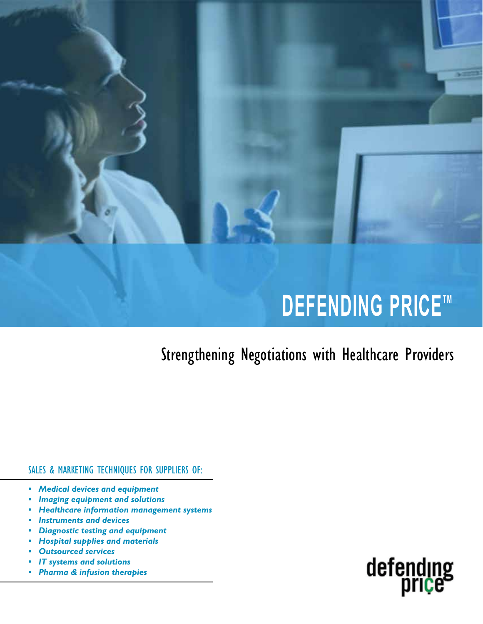

# STRENGTHENING NEGOTIATIONS WITH PURCHASING Strengthening Negotiations with Healthcare Providers

### SALES & MARKETING TECHNIQUES FOR SUPPLIERS OF:

- *• Medical devices and equipment*
- *• Imaging equipment and solutions*
- *• Healthcare information management systems*
- *• Instruments and devices*
- *• Diagnostic testing and equipment*
- *• Hospital supplies and materials*
- *• Outsourced services*
- *• IT systems and solutions*
- *• Pharma & infusion therapies*

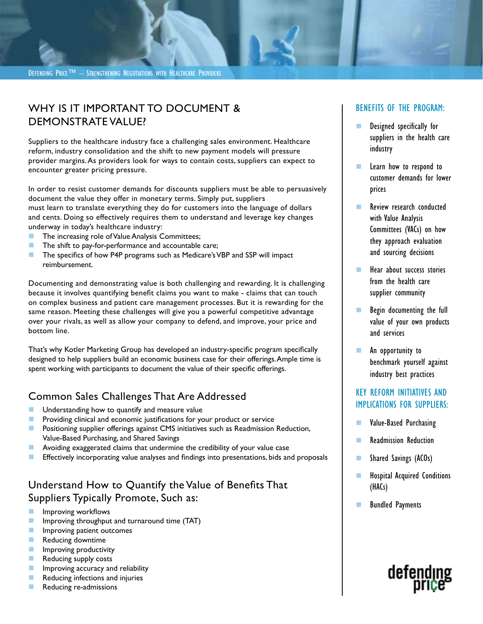**DEFENDING PRICE™ – STRENGTHENING NEGOTIATIONS WITH HEALTHCARE PROVIDERS** 

# WHY IS IT IMPORTANT TO DOCUMENT & DEMONSTRATE VALUE?

Suppliers to the healthcare industry face a challenging sales environment. Healthcare reform, industry consolidation and the shift to new payment models will pressure provider margins. As providers look for ways to contain costs, suppliers can expect to encounter greater pricing pressure.

In order to resist customer demands for discounts suppliers must be able to persuasively document the value they offer in monetary terms. Simply put, suppliers must learn to translate everything they do for customers into the language of dollars and cents. Doing so effectively requires them to understand and leverage key changes underway in today's healthcare industry:

- **The increasing role of Value Analysis Committees;**
- The shift to pay-for-performance and accountable care;
- The specifics of how P4P programs such as Medicare's VBP and SSP will impact reimbursement.

Documenting and demonstrating value is both challenging and rewarding. It is challenging because it involves quantifying benefit claims you want to make - claims that can touch on complex business and patient care management processes. But it is rewarding for the same reason. Meeting these challenges will give you a powerful competitive advantage over your rivals, as well as allow your company to defend, and improve, your price and bottom line.

That's why Kotler Marketing Group has developed an industry-specific program specifically designed to help suppliers build an economic business case for their offerings. Ample time is spent working with participants to document the value of their specific offerings.

### Common Sales Challenges That Are Addressed

- Understanding how to quantify and measure value
- **Providing clinical and economic justifications for your product or service**
- Positioning supplier offerings against CMS initiatives such as Readmission Reduction, Value-Based Purchasing, and Shared Savings
- Avoiding exaggerated claims that undermine the credibility of your value case
- **Effectively incorporating value analyses and findings into presentations, bids and proposals**

# Understand How to Quantify the Value of Benefits That Suppliers Typically Promote, Such as:

- **Improving workflows**
- **Improving throughput and turnaround time (TAT)**
- **Improving patient outcomes**
- Reducing downtime
- **Improving productivity**
- Reducing supply costs
- Improving accuracy and reliability
- **Reducing infections and injuries**
- Reducing re-admissions

#### BENEFITS OF THE PROGRAM:

- Designed specifically for suppliers in the health care industry
- Learn how to respond to customer demands for lower prices
- Review research conducted with Value Analysis Committees (VACs) on how they approach evaluation and sourcing decisions
- Hear about success stories from the health care supplier community
- Begin documenting the full value of your own products and services
- An opportunity to benchmark yourself against industry best practices

#### KEY REFORM INITIATIVES AND IMPLICATIONS FOR SUPPLIERS:

- Value-Based Purchasing
- **Readmission Reduction**
- Shared Savings (ACOs)
- **Hospital Acquired Conditions** (HACs)
- Bundled Payments

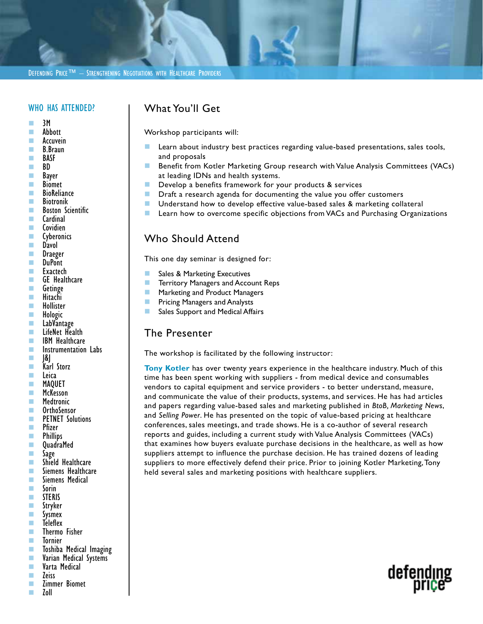#### WHO HAS ATTENDED?

- $\blacksquare$  3M
- Abbott
- **Accuvein**<br>**B** B Braun
- B.Braun
- **BASF**
- BD<br>■ Bay
- Bayer
- **Biomet**
- **BioReliance**
- **Biotronik**
- **Boston Scientific**
- **Cardinal**<br>Covidien
- **Covidien**<br>Cyberoni
- Cyberonics
- **Davol**
- **Draeger**<br>DuPont
- **DuPont**
- **■** Exactech
- GE Healthcare<br>Getinge
- Getinge
- **■** Hitachi
- **Hollister**<br>Hologic
- Hologic<br>■ LabVant
- LabVantage
- **LifeNet Health**
- **IBM** Healthcare
- Instrumentation Labs
- $\blacksquare$   $\blacksquare$
- **Karl Storz**<br>Heica
- **Leica**<br>La MAOL
- MAQUET
- **McKesson**<br>Medtronia
- **Medtronic**<br>MethoSens
- OrthoSensor
- **PETNET Solutions**<br>**P**etra Pfizer
- **P**fizer<br>Phillin
- **Phillips**
- **No. QuadraMed**<br>No. Sage
- Sage<br>Shiel
- Shield Healthcare<br>Siemens Healthca
- Siemens Healthcare
- **Siemens Medical**
- Sorin<br>STERI
- STERIS<br>Strykei
- **Stryker**<br>Sysmex
- **Sysmex**<br>Teleflex
- Teleflex
- **Thermo Fisher**
- **Tornier**<br>Toshiha
- **The Toshiba Medical Imaging<br>The Varian Medical Systems**
- Varian Medical Systems **Varta Medical**
- 
- Zeiss<br>■ Zimm Zimmer Biomet
- $\blacksquare$  Zoll

## What You'll Get

Workshop participants will:

- **Learn about industry best practices regarding value-based presentations, sales tools,** and proposals
- **Benefit from Kotler Marketing Group research with Value Analysis Committees (VACs)** at leading IDNs and health systems.
- **Develop a benefits framework for your products & services**
- **Draft a research agenda for documenting the value you offer customers**
- **Understand how to develop effective value-based sales & marketing collateral**
- **Learn how to overcome specific objections from VACs and Purchasing Organizations**

### Who Should Attend

This one day seminar is designed for:

- **Sales & Marketing Executives**
- **Territory Managers and Account Reps**
- **Marketing and Product Managers**
- **Pricing Managers and Analysts**
- **Sales Support and Medical Affairs**

### The Presenter

The workshop is facilitated by the following instructor:

**Tony Kotler** has over twenty years experience in the healthcare industry. Much of this time has been spent working with suppliers - from medical device and consumables vendors to capital equipment and service providers - to better understand, measure, and communicate the value of their products, systems, and services. He has had articles and papers regarding value-based sales and marketing published in *BtoB, Marketing News*, and *Selling Power*. He has presented on the topic of value-based pricing at healthcare conferences, sales meetings, and trade shows. He is a co-author of several research reports and guides, including a current study with Value Analysis Committees (VACs) that examines how buyers evaluate purchase decisions in the healthcare, as well as how suppliers attempt to influence the purchase decision. He has trained dozens of leading suppliers to more effectively defend their price. Prior to joining Kotler Marketing, Tony held several sales and marketing positions with healthcare suppliers.